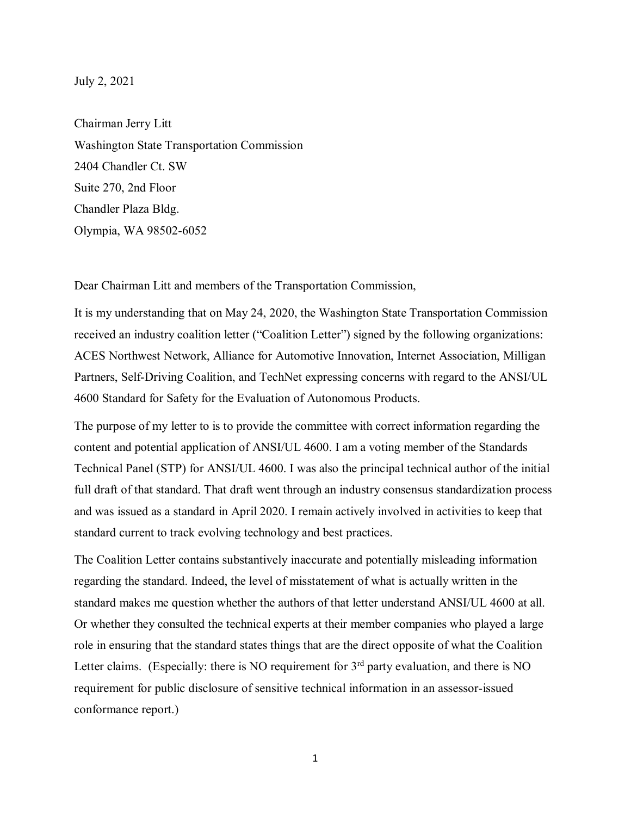## July 2, 2021

Chairman Jerry Litt Washington State Transportation Commission 2404 Chandler Ct. SW Suite 270, 2nd Floor Chandler Plaza Bldg. Olympia, WA 98502-6052

Dear Chairman Litt and members of the Transportation Commission,

It is my understanding that on May 24, 2020, the Washington State Transportation Commission received an industry coalition letter ("Coalition Letter") signed by the following organizations: ACES Northwest Network, Alliance for Automotive Innovation, Internet Association, Milligan Partners, Self-Driving Coalition, and TechNet expressing concerns with regard to the ANSI/UL 4600 Standard for Safety for the Evaluation of Autonomous Products.

The purpose of my letter to is to provide the committee with correct information regarding the content and potential application of ANSI/UL 4600. I am a voting member of the Standards Technical Panel (STP) for ANSI/UL 4600. I was also the principal technical author of the initial full draft of that standard. That draft went through an industry consensus standardization process and was issued as a standard in April 2020. I remain actively involved in activities to keep that standard current to track evolving technology and best practices.

The Coalition Letter contains substantively inaccurate and potentially misleading information regarding the standard. Indeed, the level of misstatement of what is actually written in the standard makes me question whether the authors of that letter understand ANSI/UL 4600 at all. Or whether they consulted the technical experts at their member companies who played a large role in ensuring that the standard states things that are the direct opposite of what the Coalition Letter claims. (Especially: there is NO requirement for  $3<sup>rd</sup>$  party evaluation, and there is NO requirement for public disclosure of sensitive technical information in an assessor-issued conformance report.)

1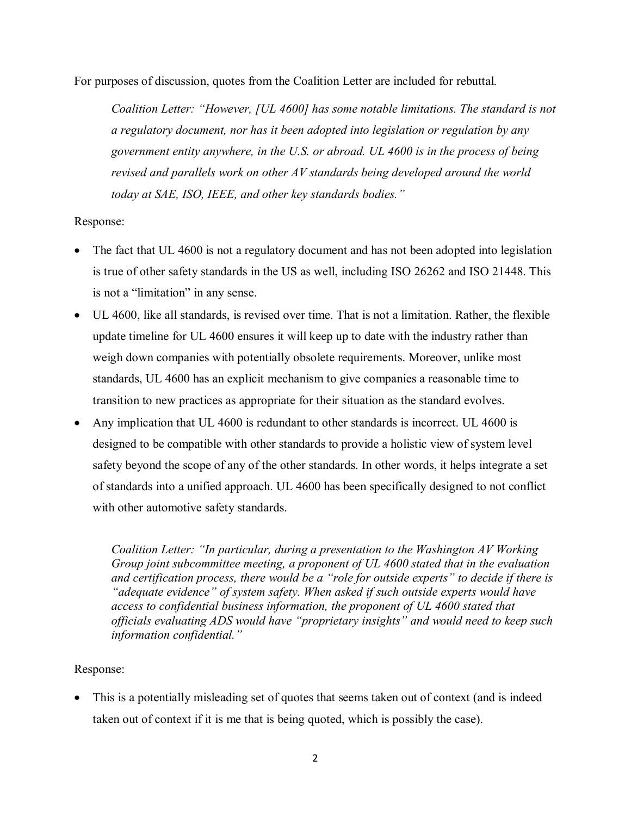For purposes of discussion, quotes from the Coalition Letter are included for rebuttal.

*Coalition Letter: "However, [UL 4600] has some notable limitations. The standard is not a regulatory document, nor has it been adopted into legislation or regulation by any government entity anywhere, in the U.S. or abroad. UL 4600 is in the process of being revised and parallels work on other AV standards being developed around the world today at SAE, ISO, IEEE, and other key standards bodies."*

## Response:

- The fact that UL 4600 is not a regulatory document and has not been adopted into legislation is true of other safety standards in the US as well, including ISO 26262 and ISO 21448. This is not a "limitation" in any sense.
- UL 4600, like all standards, is revised over time. That is not a limitation. Rather, the flexible update timeline for UL 4600 ensures it will keep up to date with the industry rather than weigh down companies with potentially obsolete requirements. Moreover, unlike most standards, UL 4600 has an explicit mechanism to give companies a reasonable time to transition to new practices as appropriate for their situation as the standard evolves.
- Any implication that UL 4600 is redundant to other standards is incorrect. UL 4600 is designed to be compatible with other standards to provide a holistic view of system level safety beyond the scope of any of the other standards. In other words, it helps integrate a set of standards into a unified approach. UL 4600 has been specifically designed to not conflict with other automotive safety standards.

*Coalition Letter: "In particular, during a presentation to the Washington AV Working Group joint subcommittee meeting, a proponent of UL 4600 stated that in the evaluation and certification process, there would be a "role for outside experts" to decide if there is "adequate evidence" of system safety. When asked if such outside experts would have access to confidential business information, the proponent of UL 4600 stated that officials evaluating ADS would have "proprietary insights" and would need to keep such information confidential."*

## Response:

• This is a potentially misleading set of quotes that seems taken out of context (and is indeed taken out of context if it is me that is being quoted, which is possibly the case).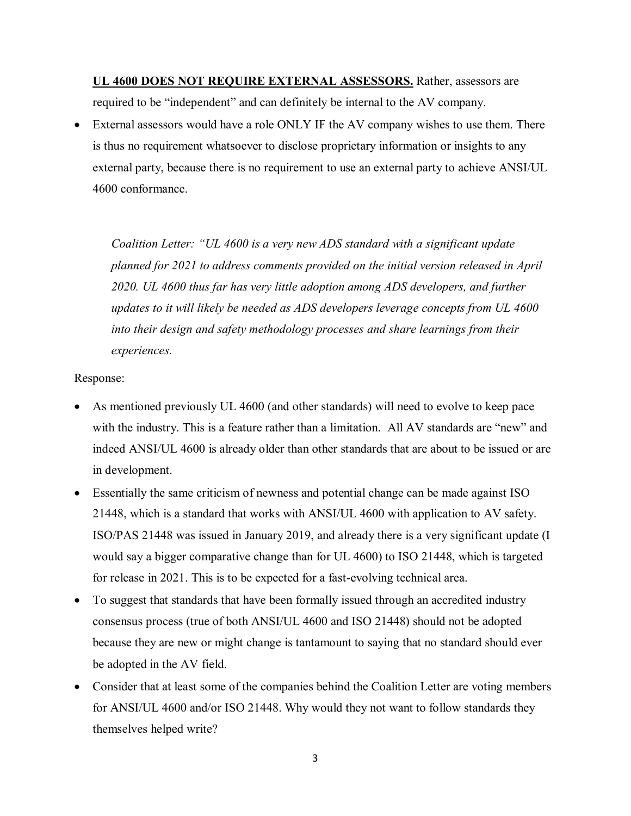**UL 4600 DOES NOT REQUIRE EXTERNAL ASSESSORS.** Rather, assessors are required to be "independent" and can definitely be internal to the AV company.

• External assessors would have a role ONLY IF the AV company wishes to use them. There is thus no requirement whatsoever to disclose proprietary information or insights to any external party, because there is no requirement to use an external party to achieve ANSI/UL 4600 conformance.

*Coalition Letter: "UL 4600 is a very new ADS standard with a significant update planned for 2021 to address comments provided on the initial version released in April 2020. UL 4600 thus far has very little adoption among ADS developers, and further updates to it will likely be needed as ADS developers leverage concepts from UL 4600 into their design and safety methodology processes and share learnings from their experiences.* 

## Response:

- As mentioned previously UL 4600 (and other standards) will need to evolve to keep pace with the industry. This is a feature rather than a limitation. All AV standards are "new" and indeed ANSI/UL 4600 is already older than other standards that are about to be issued or are in development.
- Essentially the same criticism of newness and potential change can be made against ISO 21448, which is a standard that works with ANSI/UL 4600 with application to AV safety. ISO/PAS 21448 was issued in January 2019, and already there is a very significant update (I would say a bigger comparative change than for UL 4600) to ISO 21448, which is targeted for release in 2021. This is to be expected for a fast-evolving technical area.
- To suggest that standards that have been formally issued through an accredited industry consensus process (true of both ANSI/UL 4600 and ISO 21448) should not be adopted because they are new or might change is tantamount to saying that no standard should ever be adopted in the AV field.
- Consider that at least some of the companies behind the Coalition Letter are voting members for ANSI/UL 4600 and/or ISO 21448. Why would they not want to follow standards they themselves helped write?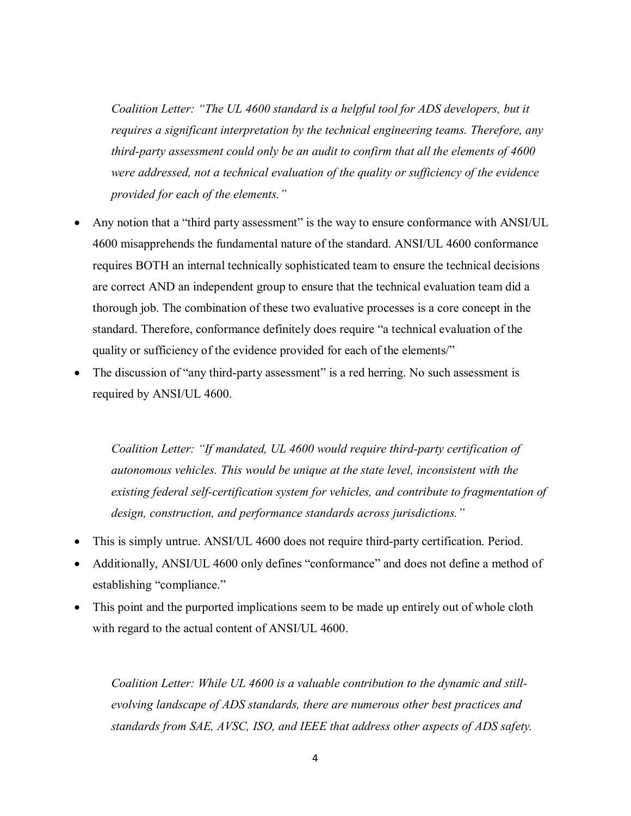*Coalition Letter: "The UL 4600 standard is a helpful tool for ADS developers, but it requires a significant interpretation by the technical engineering teams. Therefore, any third-party assessment could only be an audit to confirm that all the elements of 4600 were addressed, not a technical evaluation of the quality or sufficiency of the evidence provided for each of the elements."*

- Any notion that a "third party assessment" is the way to ensure conformance with ANSI/UL 4600 misapprehends the fundamental nature of the standard. ANSI/UL 4600 conformance requires BOTH an internal technically sophisticated team to ensure the technical decisions are correct AND an independent group to ensure that the technical evaluation team did a thorough job. The combination of these two evaluative processes is a core concept in the standard. Therefore, conformance definitely does require "a technical evaluation of the quality or sufficiency of the evidence provided for each of the elements/"
- The discussion of "any third-party assessment" is a red herring. No such assessment is required by ANSI/UL 4600.

*Coalition Letter: "If mandated, UL 4600 would require third-party certification of autonomous vehicles. This would be unique at the state level, inconsistent with the existing federal self-certification system for vehicles, and contribute to fragmentation of design, construction, and performance standards across jurisdictions."*

- This is simply untrue. ANSI/UL 4600 does not require third-party certification. Period.
- Additionally, ANSI/UL 4600 only defines "conformance" and does not define a method of establishing "compliance."
- This point and the purported implications seem to be made up entirely out of whole cloth with regard to the actual content of ANSI/UL 4600.

*Coalition Letter: While UL 4600 is a valuable contribution to the dynamic and stillevolving landscape of ADS standards, there are numerous other best practices and standards from SAE, AVSC, ISO, and IEEE that address other aspects of ADS safety.*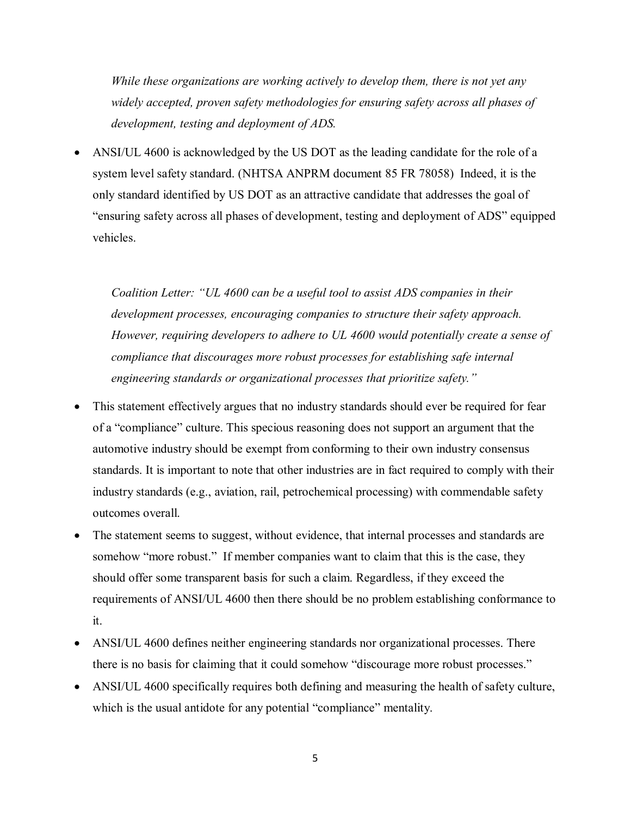*While these organizations are working actively to develop them, there is not yet any widely accepted, proven safety methodologies for ensuring safety across all phases of development, testing and deployment of ADS.*

• ANSI/UL 4600 is acknowledged by the US DOT as the leading candidate for the role of a system level safety standard. (NHTSA ANPRM document 85 FR 78058) Indeed, it is the only standard identified by US DOT as an attractive candidate that addresses the goal of "ensuring safety across all phases of development, testing and deployment of ADS" equipped vehicles.

*Coalition Letter: "UL 4600 can be a useful tool to assist ADS companies in their development processes, encouraging companies to structure their safety approach. However, requiring developers to adhere to UL 4600 would potentially create a sense of compliance that discourages more robust processes for establishing safe internal engineering standards or organizational processes that prioritize safety."*

- This statement effectively argues that no industry standards should ever be required for fear of a "compliance" culture. This specious reasoning does not support an argument that the automotive industry should be exempt from conforming to their own industry consensus standards. It is important to note that other industries are in fact required to comply with their industry standards (e.g., aviation, rail, petrochemical processing) with commendable safety outcomes overall.
- The statement seems to suggest, without evidence, that internal processes and standards are somehow "more robust." If member companies want to claim that this is the case, they should offer some transparent basis for such a claim. Regardless, if they exceed the requirements of ANSI/UL 4600 then there should be no problem establishing conformance to it.
- ANSI/UL 4600 defines neither engineering standards nor organizational processes. There there is no basis for claiming that it could somehow "discourage more robust processes."
- ANSI/UL 4600 specifically requires both defining and measuring the health of safety culture, which is the usual antidote for any potential "compliance" mentality.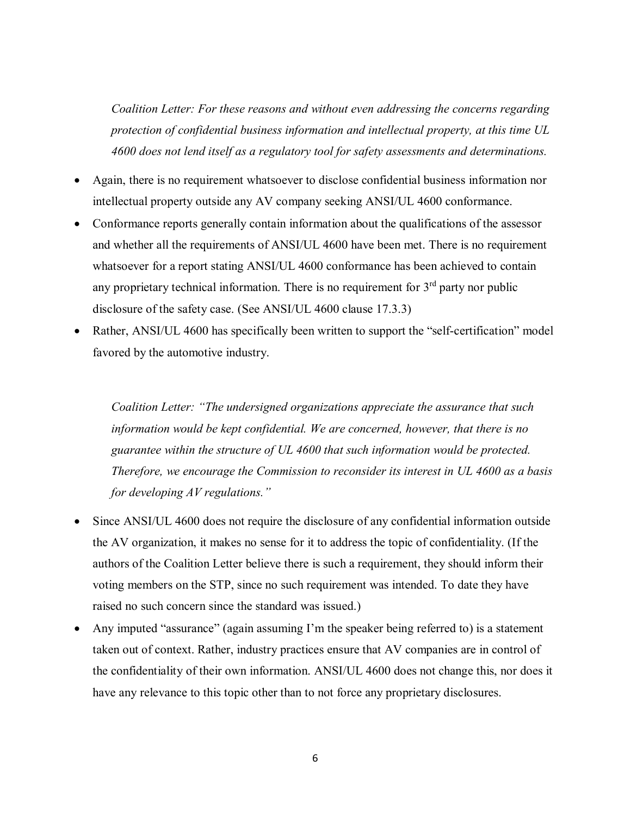*Coalition Letter: For these reasons and without even addressing the concerns regarding protection of confidential business information and intellectual property, at this time UL 4600 does not lend itself as a regulatory tool for safety assessments and determinations.*

- Again, there is no requirement whatsoever to disclose confidential business information nor intellectual property outside any AV company seeking ANSI/UL 4600 conformance.
- Conformance reports generally contain information about the qualifications of the assessor and whether all the requirements of ANSI/UL 4600 have been met. There is no requirement whatsoever for a report stating ANSI/UL 4600 conformance has been achieved to contain any proprietary technical information. There is no requirement for  $3<sup>rd</sup>$  party nor public disclosure of the safety case. (See ANSI/UL 4600 clause 17.3.3)
- Rather, ANSI/UL 4600 has specifically been written to support the "self-certification" model favored by the automotive industry.

*Coalition Letter: "The undersigned organizations appreciate the assurance that such information would be kept confidential. We are concerned, however, that there is no guarantee within the structure of UL 4600 that such information would be protected. Therefore, we encourage the Commission to reconsider its interest in UL 4600 as a basis for developing AV regulations."*

- Since ANSI/UL 4600 does not require the disclosure of any confidential information outside the AV organization, it makes no sense for it to address the topic of confidentiality. (If the authors of the Coalition Letter believe there is such a requirement, they should inform their voting members on the STP, since no such requirement was intended. To date they have raised no such concern since the standard was issued.)
- Any imputed "assurance" (again assuming I'm the speaker being referred to) is a statement taken out of context. Rather, industry practices ensure that AV companies are in control of the confidentiality of their own information. ANSI/UL 4600 does not change this, nor does it have any relevance to this topic other than to not force any proprietary disclosures.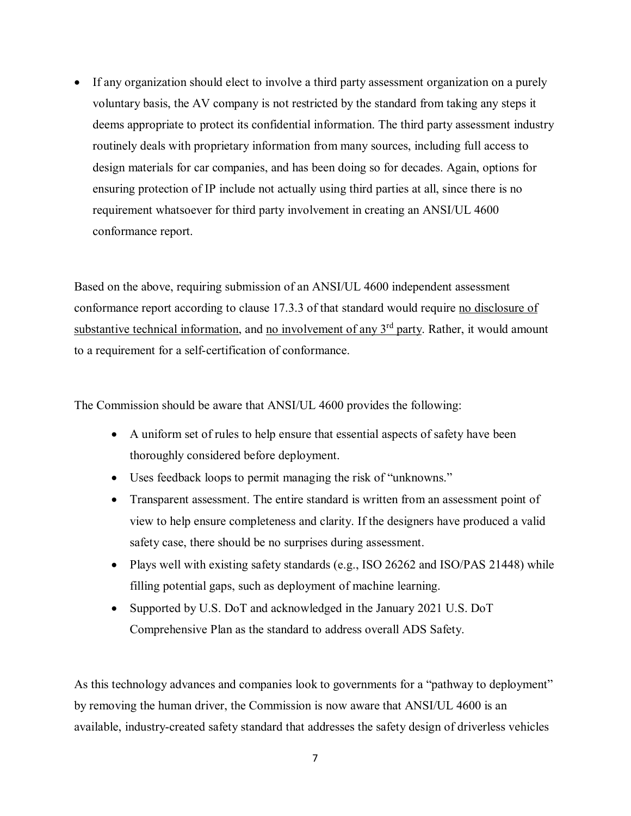• If any organization should elect to involve a third party assessment organization on a purely voluntary basis, the AV company is not restricted by the standard from taking any steps it deems appropriate to protect its confidential information. The third party assessment industry routinely deals with proprietary information from many sources, including full access to design materials for car companies, and has been doing so for decades. Again, options for ensuring protection of IP include not actually using third parties at all, since there is no requirement whatsoever for third party involvement in creating an ANSI/UL 4600 conformance report.

Based on the above, requiring submission of an ANSI/UL 4600 independent assessment conformance report according to clause 17.3.3 of that standard would require no disclosure of substantive technical information, and no involvement of any  $3<sup>rd</sup>$  party. Rather, it would amount to a requirement for a self-certification of conformance.

The Commission should be aware that ANSI/UL 4600 provides the following:

- A uniform set of rules to help ensure that essential aspects of safety have been thoroughly considered before deployment.
- Uses feedback loops to permit managing the risk of "unknowns."
- Transparent assessment. The entire standard is written from an assessment point of view to help ensure completeness and clarity. If the designers have produced a valid safety case, there should be no surprises during assessment.
- Plays well with existing safety standards (e.g., ISO 26262 and ISO/PAS 21448) while filling potential gaps, such as deployment of machine learning.
- Supported by U.S. DoT and acknowledged in the January 2021 U.S. DoT Comprehensive Plan as the standard to address overall ADS Safety.

As this technology advances and companies look to governments for a "pathway to deployment" by removing the human driver, the Commission is now aware that ANSI/UL 4600 is an available, industry-created safety standard that addresses the safety design of driverless vehicles